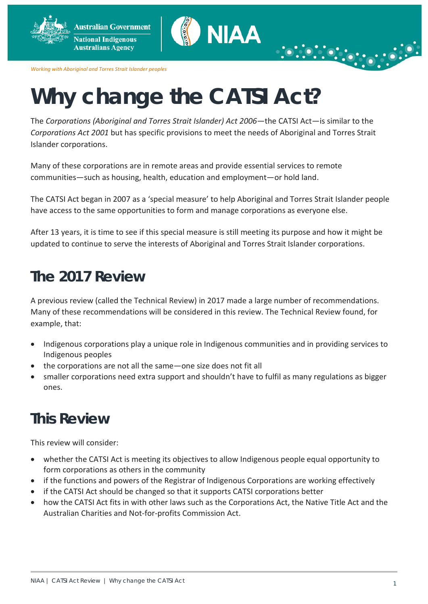**Australian Government National Indigenous Australians Agency** 



*Working with Aboriginal and Torres Strait Islander peoples*

# **Why change the CATSI Act?**

The *Corporations (Aboriginal and Torres Strait Islander) Act 2006*—the CATSI Act—is similar to the *Corporations Act 2001* but has specific provisions to meet the needs of Aboriginal and Torres Strait Islander corporations.

Many of these corporations are in remote areas and provide essential services to remote communities—such as housing, health, education and employment—or hold land.

The CATSI Act began in 2007 as a 'special measure' to help Aboriginal and Torres Strait Islander people have access to the same opportunities to form and manage corporations as everyone else.

After 13 years, it is time to see if this special measure is still meeting its purpose and how it might be updated to continue to serve the interests of Aboriginal and Torres Strait Islander corporations.

## **The 2017 Review**

A previous review (called the Technical Review) in 2017 made a large number of recommendations. Many of these recommendations will be considered in this review. The Technical Review found, for example, that:

- Indigenous corporations play a unique role in Indigenous communities and in providing services to Indigenous peoples
- the corporations are not all the same—one size does not fit all
- smaller corporations need extra support and shouldn't have to fulfil as many regulations as bigger ones.

# **This Review**

This review will consider:

- whether the CATSI Act is meeting its objectives to allow Indigenous people equal opportunity to form corporations as others in the community
- if the functions and powers of the Registrar of Indigenous Corporations are working effectively
- if the CATSI Act should be changed so that it supports CATSI corporations better
- how the CATSI Act fits in with other laws such as the Corporations Act, the Native Title Act and the Australian Charities and Not-for-profits Commission Act.